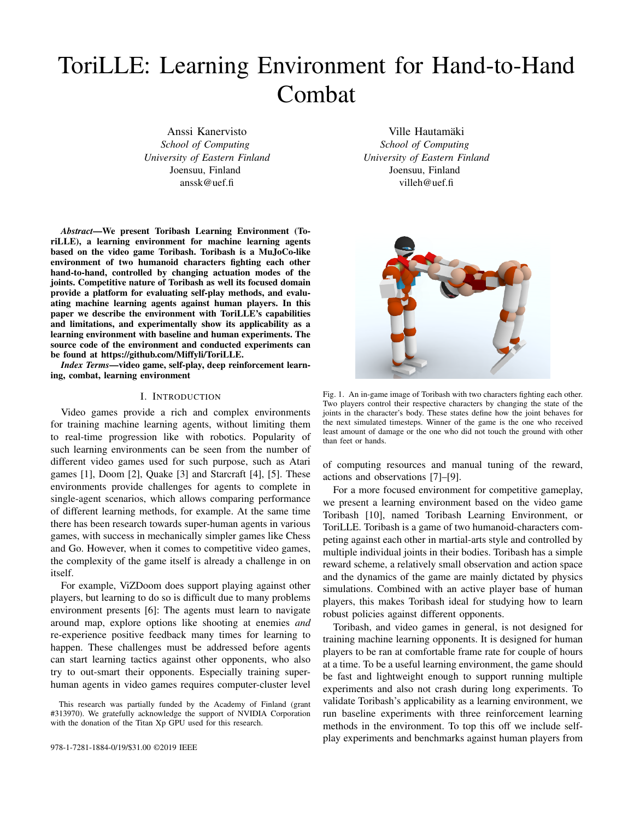# ToriLLE: Learning Environment for Hand-to-Hand Combat

Anssi Kanervisto *School of Computing University of Eastern Finland* Joensuu, Finland anssk@uef.fi

*Abstract*—We present Toribash Learning Environment (ToriLLE), a learning environment for machine learning agents based on the video game Toribash. Toribash is a MuJoCo-like environment of two humanoid characters fighting each other hand-to-hand, controlled by changing actuation modes of the joints. Competitive nature of Toribash as well its focused domain provide a platform for evaluating self-play methods, and evaluating machine learning agents against human players. In this paper we describe the environment with ToriLLE's capabilities and limitations, and experimentally show its applicability as a learning environment with baseline and human experiments. The source code of the environment and conducted experiments can be found at https://github.com/Miffyli/ToriLLE.

*Index Terms*—video game, self-play, deep reinforcement learning, combat, learning environment

#### I. INTRODUCTION

Video games provide a rich and complex environments for training machine learning agents, without limiting them to real-time progression like with robotics. Popularity of such learning environments can be seen from the number of different video games used for such purpose, such as Atari games [1], Doom [2], Quake [3] and Starcraft [4], [5]. These environments provide challenges for agents to complete in single-agent scenarios, which allows comparing performance of different learning methods, for example. At the same time there has been research towards super-human agents in various games, with success in mechanically simpler games like Chess and Go. However, when it comes to competitive video games, the complexity of the game itself is already a challenge in on itself.

For example, ViZDoom does support playing against other players, but learning to do so is difficult due to many problems environment presents [6]: The agents must learn to navigate around map, explore options like shooting at enemies *and* re-experience positive feedback many times for learning to happen. These challenges must be addressed before agents can start learning tactics against other opponents, who also try to out-smart their opponents. Especially training superhuman agents in video games requires computer-cluster level

Ville Hautamäki *School of Computing University of Eastern Finland* Joensuu, Finland villeh@uef.fi



Fig. 1. An in-game image of Toribash with two characters fighting each other. Two players control their respective characters by changing the state of the joints in the character's body. These states define how the joint behaves for the next simulated timesteps. Winner of the game is the one who received least amount of damage or the one who did not touch the ground with other than feet or hands.

of computing resources and manual tuning of the reward, actions and observations [7]–[9].

For a more focused environment for competitive gameplay, we present a learning environment based on the video game Toribash [10], named Toribash Learning Environment, or ToriLLE. Toribash is a game of two humanoid-characters competing against each other in martial-arts style and controlled by multiple individual joints in their bodies. Toribash has a simple reward scheme, a relatively small observation and action space and the dynamics of the game are mainly dictated by physics simulations. Combined with an active player base of human players, this makes Toribash ideal for studying how to learn robust policies against different opponents.

Toribash, and video games in general, is not designed for training machine learning opponents. It is designed for human players to be ran at comfortable frame rate for couple of hours at a time. To be a useful learning environment, the game should be fast and lightweight enough to support running multiple experiments and also not crash during long experiments. To validate Toribash's applicability as a learning environment, we run baseline experiments with three reinforcement learning methods in the environment. To top this off we include selfplay experiments and benchmarks against human players from

This research was partially funded by the Academy of Finland (grant #313970). We gratefully acknowledge the support of NVIDIA Corporation with the donation of the Titan Xp GPU used for this research.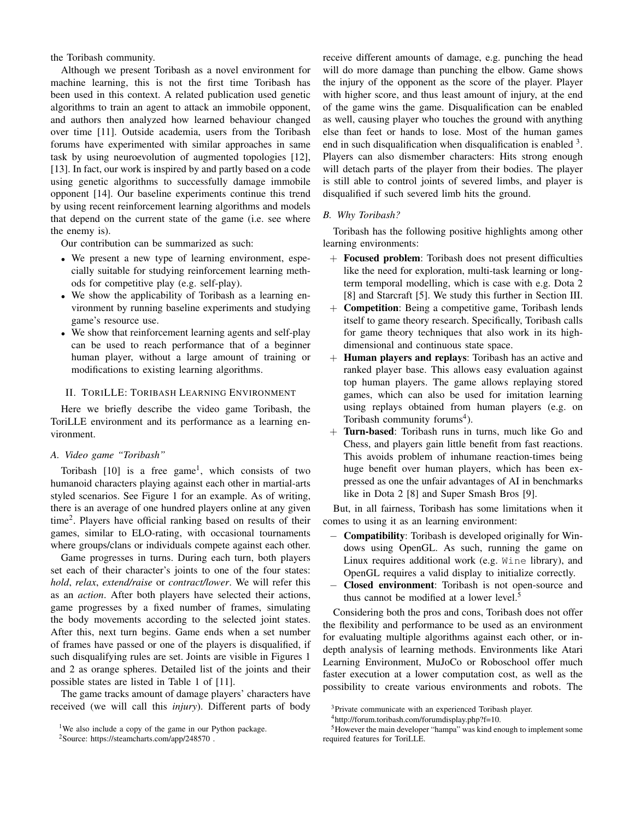the Toribash community.

Although we present Toribash as a novel environment for machine learning, this is not the first time Toribash has been used in this context. A related publication used genetic algorithms to train an agent to attack an immobile opponent, and authors then analyzed how learned behaviour changed over time [11]. Outside academia, users from the Toribash forums have experimented with similar approaches in same task by using neuroevolution of augmented topologies [12], [13]. In fact, our work is inspired by and partly based on a code using genetic algorithms to successfully damage immobile opponent [14]. Our baseline experiments continue this trend by using recent reinforcement learning algorithms and models that depend on the current state of the game (i.e. see where the enemy is).

Our contribution can be summarized as such:

- We present a new type of learning environment, especially suitable for studying reinforcement learning methods for competitive play (e.g. self-play).
- We show the applicability of Toribash as a learning environment by running baseline experiments and studying game's resource use.
- We show that reinforcement learning agents and self-play can be used to reach performance that of a beginner human player, without a large amount of training or modifications to existing learning algorithms.

## II. TORILLE: TORIBASH LEARNING ENVIRONMENT

Here we briefly describe the video game Toribash, the ToriLLE environment and its performance as a learning environment.

## *A. Video game "Toribash"*

Toribash [10] is a free game<sup>1</sup>, which consists of two humanoid characters playing against each other in martial-arts styled scenarios. See Figure 1 for an example. As of writing, there is an average of one hundred players online at any given time<sup>2</sup> . Players have official ranking based on results of their games, similar to ELO-rating, with occasional tournaments where groups/clans or individuals compete against each other.

Game progresses in turns. During each turn, both players set each of their character's joints to one of the four states: *hold*, *relax*, *extend/raise* or *contract/lower*. We will refer this as an *action*. After both players have selected their actions, game progresses by a fixed number of frames, simulating the body movements according to the selected joint states. After this, next turn begins. Game ends when a set number of frames have passed or one of the players is disqualified, if such disqualifying rules are set. Joints are visible in Figures 1 and 2 as orange spheres. Detailed list of the joints and their possible states are listed in Table 1 of [11].

The game tracks amount of damage players' characters have received (we will call this *injury*). Different parts of body receive different amounts of damage, e.g. punching the head will do more damage than punching the elbow. Game shows the injury of the opponent as the score of the player. Player with higher score, and thus least amount of injury, at the end of the game wins the game. Disqualification can be enabled as well, causing player who touches the ground with anything else than feet or hands to lose. Most of the human games end in such disqualification when disqualification is enabled <sup>3</sup>. Players can also dismember characters: Hits strong enough will detach parts of the player from their bodies. The player is still able to control joints of severed limbs, and player is disqualified if such severed limb hits the ground.

## *B. Why Toribash?*

Toribash has the following positive highlights among other learning environments:

- + Focused problem: Toribash does not present difficulties like the need for exploration, multi-task learning or longterm temporal modelling, which is case with e.g. Dota 2 [8] and Starcraft [5]. We study this further in Section III.
- + Competition: Being a competitive game, Toribash lends itself to game theory research. Specifically, Toribash calls for game theory techniques that also work in its highdimensional and continuous state space.
- + Human players and replays: Toribash has an active and ranked player base. This allows easy evaluation against top human players. The game allows replaying stored games, which can also be used for imitation learning using replays obtained from human players (e.g. on Toribash community forums<sup>4</sup>).
- + Turn-based: Toribash runs in turns, much like Go and Chess, and players gain little benefit from fast reactions. This avoids problem of inhumane reaction-times being huge benefit over human players, which has been expressed as one the unfair advantages of AI in benchmarks like in Dota 2 [8] and Super Smash Bros [9].

But, in all fairness, Toribash has some limitations when it comes to using it as an learning environment:

- − Compatibility: Toribash is developed originally for Windows using OpenGL. As such, running the game on Linux requires additional work (e.g. Wine library), and OpenGL requires a valid display to initialize correctly.
- − Closed environment: Toribash is not open-source and thus cannot be modified at a lower level.<sup>5</sup>

Considering both the pros and cons, Toribash does not offer the flexibility and performance to be used as an environment for evaluating multiple algorithms against each other, or indepth analysis of learning methods. Environments like Atari Learning Environment, MuJoCo or Roboschool offer much faster execution at a lower computation cost, as well as the possibility to create various environments and robots. The

<sup>&</sup>lt;sup>1</sup>We also include a copy of the game in our Python package.

<sup>2</sup>Source: https://steamcharts.com/app/248570 .

<sup>3</sup>Private communicate with an experienced Toribash player.

<sup>4</sup>http://forum.toribash.com/forumdisplay.php?f=10.

<sup>5</sup>However the main developer "hampa" was kind enough to implement some required features for ToriLLE.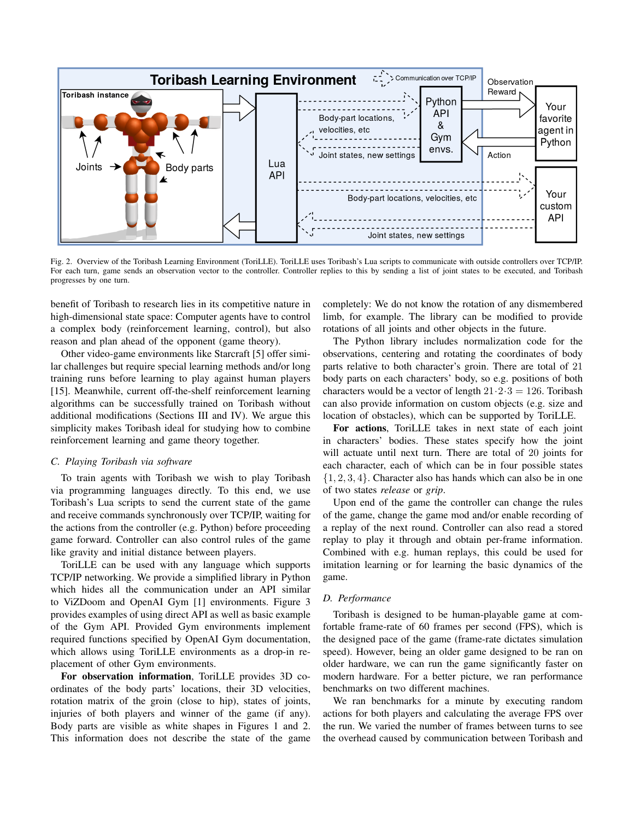

Fig. 2. Overview of the Toribash Learning Environment (ToriLLE). ToriLLE uses Toribash's Lua scripts to communicate with outside controllers over TCP/IP. For each turn, game sends an observation vector to the controller. Controller replies to this by sending a list of joint states to be executed, and Toribash progresses by one turn.

benefit of Toribash to research lies in its competitive nature in high-dimensional state space: Computer agents have to control a complex body (reinforcement learning, control), but also reason and plan ahead of the opponent (game theory).

Other video-game environments like Starcraft [5] offer similar challenges but require special learning methods and/or long training runs before learning to play against human players [15]. Meanwhile, current off-the-shelf reinforcement learning algorithms can be successfully trained on Toribash without additional modifications (Sections III and IV). We argue this simplicity makes Toribash ideal for studying how to combine reinforcement learning and game theory together.

## *C. Playing Toribash via software*

To train agents with Toribash we wish to play Toribash via programming languages directly. To this end, we use Toribash's Lua scripts to send the current state of the game and receive commands synchronously over TCP/IP, waiting for the actions from the controller (e.g. Python) before proceeding game forward. Controller can also control rules of the game like gravity and initial distance between players.

ToriLLE can be used with any language which supports TCP/IP networking. We provide a simplified library in Python which hides all the communication under an API similar to ViZDoom and OpenAI Gym [1] environments. Figure 3 provides examples of using direct API as well as basic example of the Gym API. Provided Gym environments implement required functions specified by OpenAI Gym documentation, which allows using ToriLLE environments as a drop-in replacement of other Gym environments.

For observation information, ToriLLE provides 3D coordinates of the body parts' locations, their 3D velocities, rotation matrix of the groin (close to hip), states of joints, injuries of both players and winner of the game (if any). Body parts are visible as white shapes in Figures 1 and 2. This information does not describe the state of the game completely: We do not know the rotation of any dismembered limb, for example. The library can be modified to provide rotations of all joints and other objects in the future.

The Python library includes normalization code for the observations, centering and rotating the coordinates of body parts relative to both character's groin. There are total of 21 body parts on each characters' body, so e.g. positions of both characters would be a vector of length  $21.2.3 = 126$ . Toribash can also provide information on custom objects (e.g. size and location of obstacles), which can be supported by ToriLLE.

For actions, ToriLLE takes in next state of each joint in characters' bodies. These states specify how the joint will actuate until next turn. There are total of 20 joints for each character, each of which can be in four possible states  $\{1, 2, 3, 4\}$ . Character also has hands which can also be in one of two states *release* or *grip*.

Upon end of the game the controller can change the rules of the game, change the game mod and/or enable recording of a replay of the next round. Controller can also read a stored replay to play it through and obtain per-frame information. Combined with e.g. human replays, this could be used for imitation learning or for learning the basic dynamics of the game.

## *D. Performance*

Toribash is designed to be human-playable game at comfortable frame-rate of 60 frames per second (FPS), which is the designed pace of the game (frame-rate dictates simulation speed). However, being an older game designed to be ran on older hardware, we can run the game significantly faster on modern hardware. For a better picture, we ran performance benchmarks on two different machines.

We ran benchmarks for a minute by executing random actions for both players and calculating the average FPS over the run. We varied the number of frames between turns to see the overhead caused by communication between Toribash and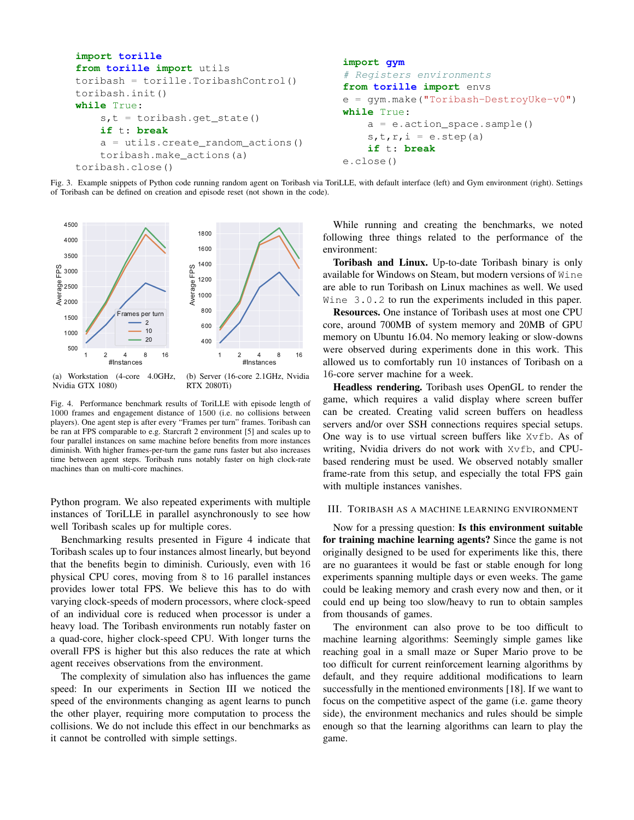```
import torille
from torille import utils
toribash = torille.ToribashControl()
toribash.init()
while True:
    s,t = toribash.get_state()
    if t: break
    a = utils.create_random_actions()
    toribash.make_actions(a)
toribash.close()
                                             import gym
                                             # Registers environments
                                             from torille import envs
                                             e = gym.make("Toribash-DestroyUke-v0")
                                             while True:
                                                 a = e.action_space.sample()
                                                 s, t, r, i = e. step(a)if t: break
                                             e.close()
```
Fig. 3. Example snippets of Python code running random agent on Toribash via ToriLLE, with default interface (left) and Gym environment (right). Settings of Toribash can be defined on creation and episode reset (not shown in the code).



(a) Workstation (4-core 4.0GHz, Nvidia GTX 1080) (b) Server (16-core 2.1GHz, Nvidia RTX 2080Ti)

Fig. 4. Performance benchmark results of ToriLLE with episode length of 1000 frames and engagement distance of 1500 (i.e. no collisions between players). One agent step is after every "Frames per turn" frames. Toribash can be ran at FPS comparable to e.g. Starcraft 2 environment [5] and scales up to four parallel instances on same machine before benefits from more instances diminish. With higher frames-per-turn the game runs faster but also increases time between agent steps. Toribash runs notably faster on high clock-rate machines than on multi-core machines.

Python program. We also repeated experiments with multiple instances of ToriLLE in parallel asynchronously to see how well Toribash scales up for multiple cores.

Benchmarking results presented in Figure 4 indicate that Toribash scales up to four instances almost linearly, but beyond that the benefits begin to diminish. Curiously, even with 16 physical CPU cores, moving from 8 to 16 parallel instances provides lower total FPS. We believe this has to do with varying clock-speeds of modern processors, where clock-speed of an individual core is reduced when processor is under a heavy load. The Toribash environments run notably faster on a quad-core, higher clock-speed CPU. With longer turns the overall FPS is higher but this also reduces the rate at which agent receives observations from the environment.

The complexity of simulation also has influences the game speed: In our experiments in Section III we noticed the speed of the environments changing as agent learns to punch the other player, requiring more computation to process the collisions. We do not include this effect in our benchmarks as it cannot be controlled with simple settings.

While running and creating the benchmarks, we noted following three things related to the performance of the environment:

Toribash and Linux. Up-to-date Toribash binary is only available for Windows on Steam, but modern versions of Wine are able to run Toribash on Linux machines as well. We used Wine 3.0.2 to run the experiments included in this paper.

Resources. One instance of Toribash uses at most one CPU core, around 700MB of system memory and 20MB of GPU memory on Ubuntu 16.04. No memory leaking or slow-downs were observed during experiments done in this work. This allowed us to comfortably run 10 instances of Toribash on a 16-core server machine for a week.

Headless rendering. Toribash uses OpenGL to render the game, which requires a valid display where screen buffer can be created. Creating valid screen buffers on headless servers and/or over SSH connections requires special setups. One way is to use virtual screen buffers like Xvfb. As of writing, Nvidia drivers do not work with Xvfb, and CPUbased rendering must be used. We observed notably smaller frame-rate from this setup, and especially the total FPS gain with multiple instances vanishes.

## III. TORIBASH AS A MACHINE LEARNING ENVIRONMENT

Now for a pressing question: Is this environment suitable for training machine learning agents? Since the game is not originally designed to be used for experiments like this, there are no guarantees it would be fast or stable enough for long experiments spanning multiple days or even weeks. The game could be leaking memory and crash every now and then, or it could end up being too slow/heavy to run to obtain samples from thousands of games.

The environment can also prove to be too difficult to machine learning algorithms: Seemingly simple games like reaching goal in a small maze or Super Mario prove to be too difficult for current reinforcement learning algorithms by default, and they require additional modifications to learn successfully in the mentioned environments [18]. If we want to focus on the competitive aspect of the game (i.e. game theory side), the environment mechanics and rules should be simple enough so that the learning algorithms can learn to play the game.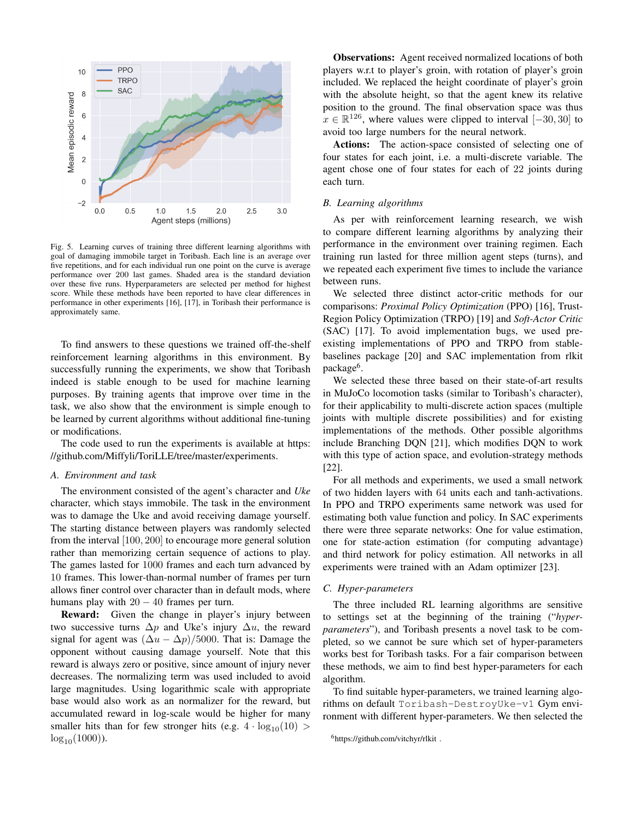

Fig. 5. Learning curves of training three different learning algorithms with goal of damaging immobile target in Toribash. Each line is an average over five repetitions, and for each individual run one point on the curve is average performance over 200 last games. Shaded area is the standard deviation over these five runs. Hyperparameters are selected per method for highest score. While these methods have been reported to have clear differences in performance in other experiments [16], [17], in Toribash their performance is approximately same.

To find answers to these questions we trained off-the-shelf reinforcement learning algorithms in this environment. By successfully running the experiments, we show that Toribash indeed is stable enough to be used for machine learning purposes. By training agents that improve over time in the task, we also show that the environment is simple enough to be learned by current algorithms without additional fine-tuning or modifications.

The code used to run the experiments is available at https: //github.com/Miffyli/ToriLLE/tree/master/experiments.

#### *A. Environment and task*

The environment consisted of the agent's character and *Uke* character, which stays immobile. The task in the environment was to damage the Uke and avoid receiving damage yourself. The starting distance between players was randomly selected from the interval [100, 200] to encourage more general solution rather than memorizing certain sequence of actions to play. The games lasted for 1000 frames and each turn advanced by 10 frames. This lower-than-normal number of frames per turn allows finer control over character than in default mods, where humans play with  $20 - 40$  frames per turn.

Reward: Given the change in player's injury between two successive turns  $\Delta p$  and Uke's injury  $\Delta u$ , the reward signal for agent was  $(\Delta u - \Delta p)/5000$ . That is: Damage the opponent without causing damage yourself. Note that this reward is always zero or positive, since amount of injury never decreases. The normalizing term was used included to avoid large magnitudes. Using logarithmic scale with appropriate base would also work as an normalizer for the reward, but accumulated reward in log-scale would be higher for many smaller hits than for few stronger hits (e.g.  $4 \cdot \log_{10}(10)$ )  $log_{10}(1000)$ ).

Observations: Agent received normalized locations of both players w.r.t to player's groin, with rotation of player's groin included. We replaced the height coordinate of player's groin with the absolute height, so that the agent knew its relative position to the ground. The final observation space was thus  $x \in \mathbb{R}^{126}$ , where values were clipped to interval  $[-30, 30]$  to avoid too large numbers for the neural network.

Actions: The action-space consisted of selecting one of four states for each joint, i.e. a multi-discrete variable. The agent chose one of four states for each of 22 joints during each turn.

## *B. Learning algorithms*

As per with reinforcement learning research, we wish to compare different learning algorithms by analyzing their performance in the environment over training regimen. Each training run lasted for three million agent steps (turns), and we repeated each experiment five times to include the variance between runs.

We selected three distinct actor-critic methods for our comparisons: *Proximal Policy Optimization* (PPO) [16], Trust-Region Policy Optimization (TRPO) [19] and *Soft-Actor Critic* (SAC) [17]. To avoid implementation bugs, we used preexisting implementations of PPO and TRPO from stablebaselines package [20] and SAC implementation from rlkit package<sup>6</sup>.

We selected these three based on their state-of-art results in MuJoCo locomotion tasks (similar to Toribash's character), for their applicability to multi-discrete action spaces (multiple joints with multiple discrete possibilities) and for existing implementations of the methods. Other possible algorithms include Branching DQN [21], which modifies DQN to work with this type of action space, and evolution-strategy methods [22].

For all methods and experiments, we used a small network of two hidden layers with 64 units each and tanh-activations. In PPO and TRPO experiments same network was used for estimating both value function and policy. In SAC experiments there were three separate networks: One for value estimation, one for state-action estimation (for computing advantage) and third network for policy estimation. All networks in all experiments were trained with an Adam optimizer [23].

#### *C. Hyper-parameters*

The three included RL learning algorithms are sensitive to settings set at the beginning of the training ("*hyperparameters*"), and Toribash presents a novel task to be completed, so we cannot be sure which set of hyper-parameters works best for Toribash tasks. For a fair comparison between these methods, we aim to find best hyper-parameters for each algorithm.

To find suitable hyper-parameters, we trained learning algorithms on default Toribash-DestroyUke-v1 Gym environment with different hyper-parameters. We then selected the

<sup>6</sup>https://github.com/vitchyr/rlkit .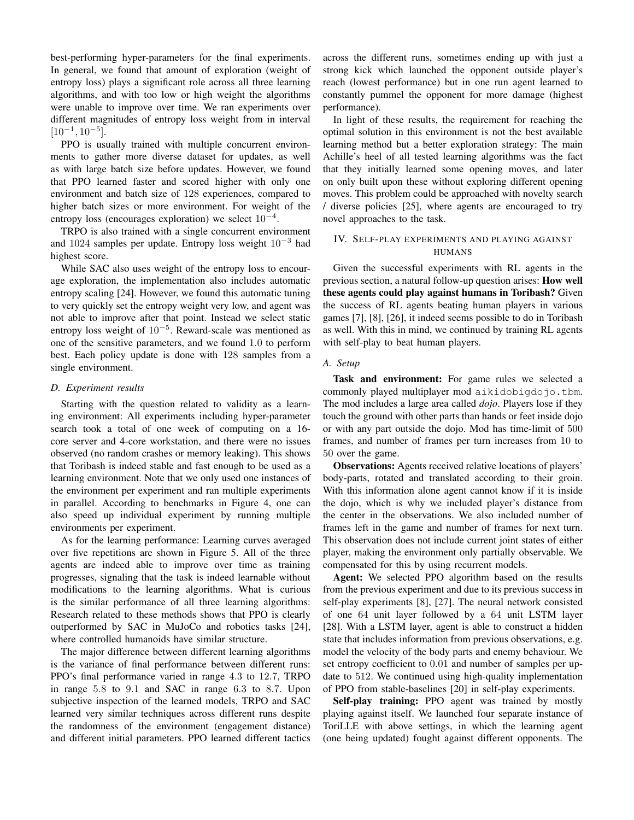best-performing hyper-parameters for the final experiments. In general, we found that amount of exploration (weight of entropy loss) plays a significant role across all three learning algorithms, and with too low or high weight the algorithms were unable to improve over time. We ran experiments over different magnitudes of entropy loss weight from in interval  $[10^{-1}, 10^{-5}].$ 

PPO is usually trained with multiple concurrent environments to gather more diverse dataset for updates, as well as with large batch size before updates. However, we found that PPO learned faster and scored higher with only one environment and batch size of 128 experiences, compared to higher batch sizes or more environment. For weight of the entropy loss (encourages exploration) we select  $10^{-4}$ .

TRPO is also trained with a single concurrent environment and 1024 samples per update. Entropy loss weight  $10^{-3}$  had highest score.

While SAC also uses weight of the entropy loss to encourage exploration, the implementation also includes automatic entropy scaling [24]. However, we found this automatic tuning to very quickly set the entropy weight very low, and agent was not able to improve after that point. Instead we select static entropy loss weight of 10<sup>−</sup><sup>5</sup> . Reward-scale was mentioned as one of the sensitive parameters, and we found 1.0 to perform best. Each policy update is done with 128 samples from a single environment.

#### *D. Experiment results*

Starting with the question related to validity as a learning environment: All experiments including hyper-parameter search took a total of one week of computing on a 16 core server and 4-core workstation, and there were no issues observed (no random crashes or memory leaking). This shows that Toribash is indeed stable and fast enough to be used as a learning environment. Note that we only used one instances of the environment per experiment and ran multiple experiments in parallel. According to benchmarks in Figure 4, one can also speed up individual experiment by running multiple environments per experiment.

As for the learning performance: Learning curves averaged over five repetitions are shown in Figure 5. All of the three agents are indeed able to improve over time as training progresses, signaling that the task is indeed learnable without modifications to the learning algorithms. What is curious is the similar performance of all three learning algorithms: Research related to these methods shows that PPO is clearly outperformed by SAC in MuJoCo and robotics tasks [24], where controlled humanoids have similar structure.

The major difference between different learning algorithms is the variance of final performance between different runs: PPO's final performance varied in range 4.3 to 12.7, TRPO in range 5.8 to 9.1 and SAC in range 6.3 to 8.7. Upon subjective inspection of the learned models, TRPO and SAC learned very similar techniques across different runs despite the randomness of the environment (engagement distance) and different initial parameters. PPO learned different tactics across the different runs, sometimes ending up with just a strong kick which launched the opponent outside player's reach (lowest performance) but in one run agent learned to constantly pummel the opponent for more damage (highest performance).

In light of these results, the requirement for reaching the optimal solution in this environment is not the best available learning method but a better exploration strategy: The main Achille's heel of all tested learning algorithms was the fact that they initially learned some opening moves, and later on only built upon these without exploring different opening moves. This problem could be approached with novelty search / diverse policies [25], where agents are encouraged to try novel approaches to the task.

# IV. SELF-PLAY EXPERIMENTS AND PLAYING AGAINST HUMANS

Given the successful experiments with RL agents in the previous section, a natural follow-up question arises: How well these agents could play against humans in Toribash? Given the success of RL agents beating human players in various games [7], [8], [26], it indeed seems possible to do in Toribash as well. With this in mind, we continued by training RL agents with self-play to beat human players.

## *A. Setup*

Task and environment: For game rules we selected a commonly played multiplayer mod aikidobigdojo.tbm. The mod includes a large area called *dojo*. Players lose if they touch the ground with other parts than hands or feet inside dojo or with any part outside the dojo. Mod has time-limit of 500 frames, and number of frames per turn increases from 10 to 50 over the game.

Observations: Agents received relative locations of players' body-parts, rotated and translated according to their groin. With this information alone agent cannot know if it is inside the dojo, which is why we included player's distance from the center in the observations. We also included number of frames left in the game and number of frames for next turn. This observation does not include current joint states of either player, making the environment only partially observable. We compensated for this by using recurrent models.

Agent: We selected PPO algorithm based on the results from the previous experiment and due to its previous success in self-play experiments [8], [27]. The neural network consisted of one 64 unit layer followed by a 64 unit LSTM layer [28]. With a LSTM layer, agent is able to construct a hidden state that includes information from previous observations, e.g. model the velocity of the body parts and enemy behaviour. We set entropy coefficient to 0.01 and number of samples per update to 512. We continued using high-quality implementation of PPO from stable-baselines [20] in self-play experiments.

Self-play training: PPO agent was trained by mostly playing against itself. We launched four separate instance of ToriLLE with above settings, in which the learning agent (one being updated) fought against different opponents. The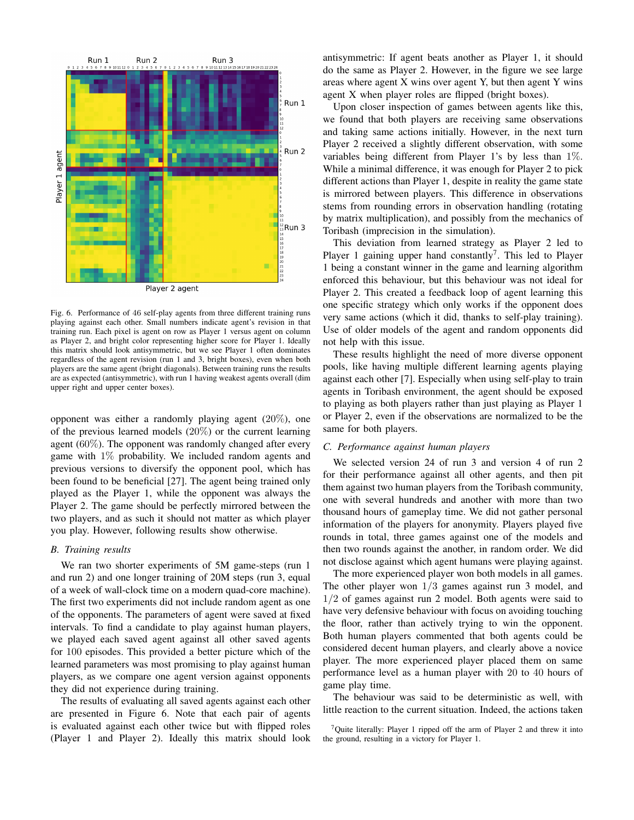

Player 2 agent

Fig. 6. Performance of 46 self-play agents from three different training runs playing against each other. Small numbers indicate agent's revision in that training run. Each pixel is agent on row as Player 1 versus agent on column as Player 2, and bright color representing higher score for Player 1. Ideally this matrix should look antisymmetric, but we see Player 1 often dominates regardless of the agent revision (run 1 and 3, bright boxes), even when both players are the same agent (bright diagonals). Between training runs the results are as expected (antisymmetric), with run 1 having weakest agents overall (dim upper right and upper center boxes).

opponent was either a randomly playing agent (20%), one of the previous learned models (20%) or the current learning agent (60%). The opponent was randomly changed after every game with 1% probability. We included random agents and previous versions to diversify the opponent pool, which has been found to be beneficial [27]. The agent being trained only played as the Player 1, while the opponent was always the Player 2. The game should be perfectly mirrored between the two players, and as such it should not matter as which player you play. However, following results show otherwise.

#### *B. Training results*

We ran two shorter experiments of 5M game-steps (run 1 and run 2) and one longer training of 20M steps (run 3, equal of a week of wall-clock time on a modern quad-core machine). The first two experiments did not include random agent as one of the opponents. The parameters of agent were saved at fixed intervals. To find a candidate to play against human players, we played each saved agent against all other saved agents for 100 episodes. This provided a better picture which of the learned parameters was most promising to play against human players, as we compare one agent version against opponents they did not experience during training.

The results of evaluating all saved agents against each other are presented in Figure 6. Note that each pair of agents is evaluated against each other twice but with flipped roles (Player 1 and Player 2). Ideally this matrix should look

antisymmetric: If agent beats another as Player 1, it should do the same as Player 2. However, in the figure we see large areas where agent X wins over agent Y, but then agent Y wins agent X when player roles are flipped (bright boxes).

Upon closer inspection of games between agents like this, we found that both players are receiving same observations and taking same actions initially. However, in the next turn Player 2 received a slightly different observation, with some variables being different from Player 1's by less than 1%. While a minimal difference, it was enough for Player 2 to pick different actions than Player 1, despite in reality the game state is mirrored between players. This difference in observations stems from rounding errors in observation handling (rotating by matrix multiplication), and possibly from the mechanics of Toribash (imprecision in the simulation).

This deviation from learned strategy as Player 2 led to Player 1 gaining upper hand constantly<sup>7</sup>. This led to Player 1 being a constant winner in the game and learning algorithm enforced this behaviour, but this behaviour was not ideal for Player 2. This created a feedback loop of agent learning this one specific strategy which only works if the opponent does very same actions (which it did, thanks to self-play training). Use of older models of the agent and random opponents did not help with this issue.

These results highlight the need of more diverse opponent pools, like having multiple different learning agents playing against each other [7]. Especially when using self-play to train agents in Toribash environment, the agent should be exposed to playing as both players rather than just playing as Player 1 or Player 2, even if the observations are normalized to be the same for both players.

### *C. Performance against human players*

We selected version 24 of run 3 and version 4 of run 2 for their performance against all other agents, and then pit them against two human players from the Toribash community, one with several hundreds and another with more than two thousand hours of gameplay time. We did not gather personal information of the players for anonymity. Players played five rounds in total, three games against one of the models and then two rounds against the another, in random order. We did not disclose against which agent humans were playing against.

The more experienced player won both models in all games. The other player won  $1/3$  games against run 3 model, and 1/2 of games against run 2 model. Both agents were said to have very defensive behaviour with focus on avoiding touching the floor, rather than actively trying to win the opponent. Both human players commented that both agents could be considered decent human players, and clearly above a novice player. The more experienced player placed them on same performance level as a human player with 20 to 40 hours of game play time.

The behaviour was said to be deterministic as well, with little reaction to the current situation. Indeed, the actions taken

<sup>&</sup>lt;sup>7</sup>Quite literally: Player 1 ripped off the arm of Player 2 and threw it into the ground, resulting in a victory for Player 1.